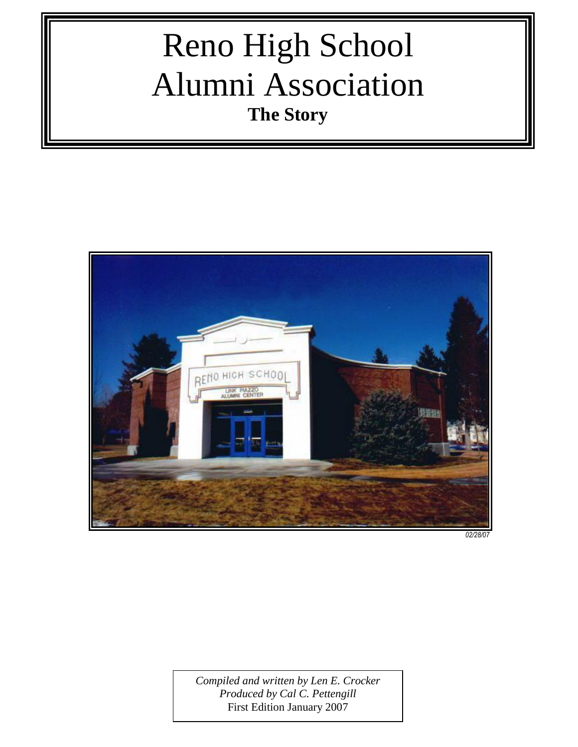# Reno High School Alumni Association **The Story**



*02/28/07*

*Compiled and written by Len E. Crocker Produced by Cal C. Pettengill* First Edition January 2007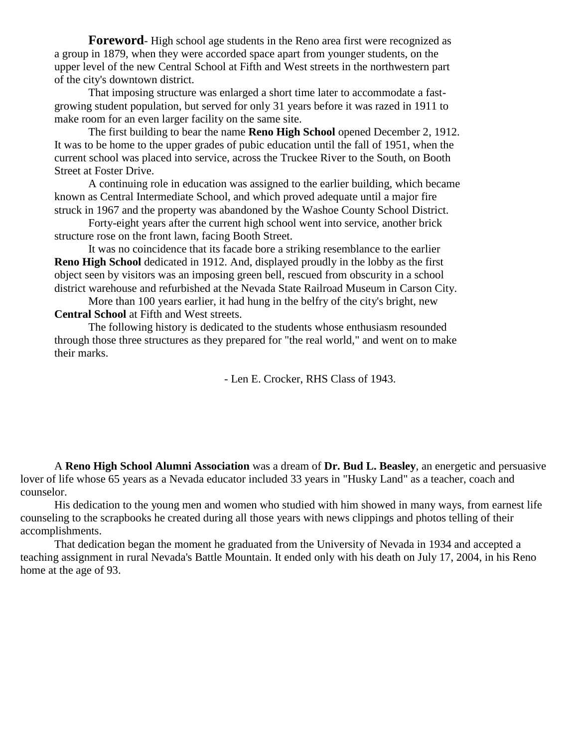**Foreword**- High school age students in the Reno area first were recognized as a group in 1879, when they were accorded space apart from younger students, on the upper level of the new Central School at Fifth and West streets in the northwestern part of the city's downtown district.

That imposing structure was enlarged a short time later to accommodate a fastgrowing student population, but served for only 31 years before it was razed in 1911 to make room for an even larger facility on the same site.

The first building to bear the name **Reno High School** opened December 2, 1912. It was to be home to the upper grades of pubic education until the fall of 1951, when the current school was placed into service, across the Truckee River to the South, on Booth Street at Foster Drive.

A continuing role in education was assigned to the earlier building, which became known as Central Intermediate School, and which proved adequate until a major fire struck in 1967 and the property was abandoned by the Washoe County School District.

Forty-eight years after the current high school went into service, another brick structure rose on the front lawn, facing Booth Street.

It was no coincidence that its facade bore a striking resemblance to the earlier **Reno High School** dedicated in 1912. And, displayed proudly in the lobby as the first object seen by visitors was an imposing green bell, rescued from obscurity in a school district warehouse and refurbished at the Nevada State Railroad Museum in Carson City.

More than 100 years earlier, it had hung in the belfry of the city's bright, new **Central School** at Fifth and West streets.

The following history is dedicated to the students whose enthusiasm resounded through those three structures as they prepared for "the real world," and went on to make their marks.

- Len E. Crocker, RHS Class of 1943.

A **Reno High School Alumni Association** was a dream of **Dr. Bud L. Beasley**, an energetic and persuasive lover of life whose 65 years as a Nevada educator included 33 years in "Husky Land" as a teacher, coach and counselor.

His dedication to the young men and women who studied with him showed in many ways, from earnest life counseling to the scrapbooks he created during all those years with news clippings and photos telling of their accomplishments.

That dedication began the moment he graduated from the University of Nevada in 1934 and accepted a teaching assignment in rural Nevada's Battle Mountain. It ended only with his death on July 17, 2004, in his Reno home at the age of 93.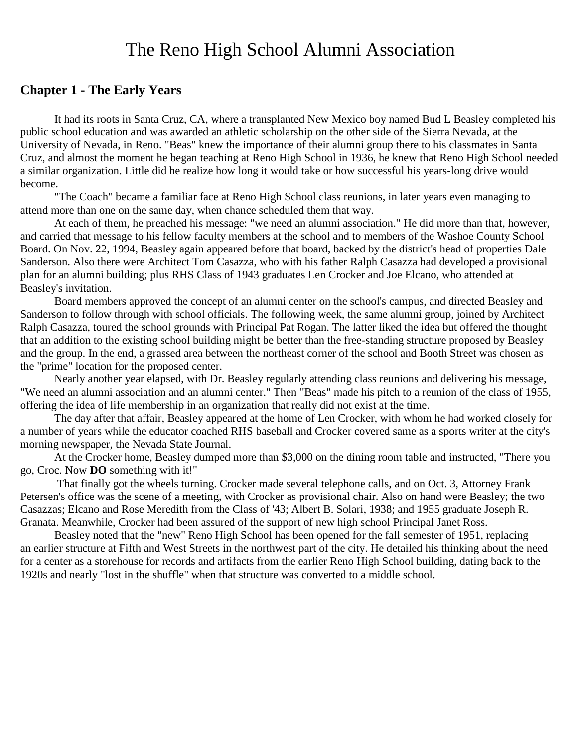## The Reno High School Alumni Association

#### **Chapter 1 - The Early Years**

It had its roots in Santa Cruz, CA, where a transplanted New Mexico boy named Bud L Beasley completed his public school education and was awarded an athletic scholarship on the other side of the Sierra Nevada, at the University of Nevada, in Reno. "Beas" knew the importance of their alumni group there to his classmates in Santa Cruz, and almost the moment he began teaching at Reno High School in 1936, he knew that Reno High School needed a similar organization. Little did he realize how long it would take or how successful his years-long drive would become.

"The Coach" became a familiar face at Reno High School class reunions, in later years even managing to attend more than one on the same day, when chance scheduled them that way.

At each of them, he preached his message: "we need an alumni association." He did more than that, however, and carried that message to his fellow faculty members at the school and to members of the Washoe County School Board. On Nov. 22, 1994, Beasley again appeared before that board, backed by the district's head of properties Dale Sanderson. Also there were Architect Tom Casazza, who with his father Ralph Casazza had developed a provisional plan for an alumni building; plus RHS Class of 1943 graduates Len Crocker and Joe Elcano, who attended at Beasley's invitation.

Board members approved the concept of an alumni center on the school's campus, and directed Beasley and Sanderson to follow through with school officials. The following week, the same alumni group, joined by Architect Ralph Casazza, toured the school grounds with Principal Pat Rogan. The latter liked the idea but offered the thought that an addition to the existing school building might be better than the free-standing structure proposed by Beasley and the group. In the end, a grassed area between the northeast corner of the school and Booth Street was chosen as the "prime" location for the proposed center.

Nearly another year elapsed, with Dr. Beasley regularly attending class reunions and delivering his message, "We need an alumni association and an alumni center." Then "Beas" made his pitch to a reunion of the class of 1955, offering the idea of life membership in an organization that really did not exist at the time.

The day after that affair, Beasley appeared at the home of Len Crocker, with whom he had worked closely for a number of years while the educator coached RHS baseball and Crocker covered same as a sports writer at the city's morning newspaper, the Nevada State Journal.

At the Crocker home, Beasley dumped more than \$3,000 on the dining room table and instructed, "There you go, Croc. Now **DO** something with it!"

That finally got the wheels turning. Crocker made several telephone calls, and on Oct. 3, Attorney Frank Petersen's office was the scene of a meeting, with Crocker as provisional chair. Also on hand were Beasley; the two Casazzas; Elcano and Rose Meredith from the Class of '43; Albert B. Solari, 1938; and 1955 graduate Joseph R. Granata. Meanwhile, Crocker had been assured of the support of new high school Principal Janet Ross.

Beasley noted that the "new" Reno High School has been opened for the fall semester of 1951, replacing an earlier structure at Fifth and West Streets in the northwest part of the city. He detailed his thinking about the need for a center as a storehouse for records and artifacts from the earlier Reno High School building, dating back to the 1920s and nearly "lost in the shuffle" when that structure was converted to a middle school.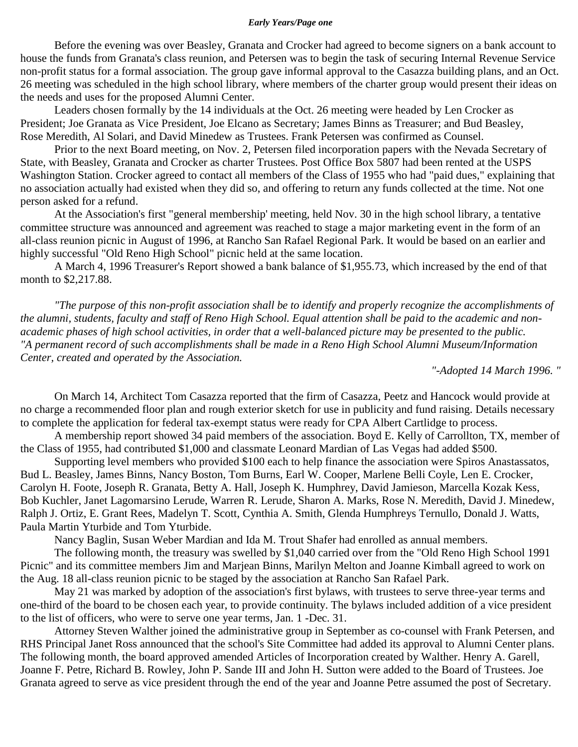#### *Early Years/Page one*

Before the evening was over Beasley, Granata and Crocker had agreed to become signers on a bank account to house the funds from Granata's class reunion, and Petersen was to begin the task of securing Internal Revenue Service non-profit status for a formal association. The group gave informal approval to the Casazza building plans, and an Oct. 26 meeting was scheduled in the high school library, where members of the charter group would present their ideas on the needs and uses for the proposed Alumni Center.

Leaders chosen formally by the 14 individuals at the Oct. 26 meeting were headed by Len Crocker as President; Joe Granata as Vice President, Joe Elcano as Secretary; James Binns as Treasurer; and Bud Beasley, Rose Meredith, Al Solari, and David Minedew as Trustees. Frank Petersen was confirmed as Counsel.

Prior to the next Board meeting, on Nov. 2, Petersen filed incorporation papers with the Nevada Secretary of State, with Beasley, Granata and Crocker as charter Trustees. Post Office Box 5807 had been rented at the USPS Washington Station. Crocker agreed to contact all members of the Class of 1955 who had "paid dues," explaining that no association actually had existed when they did so, and offering to return any funds collected at the time. Not one person asked for a refund.

At the Association's first "general membership' meeting, held Nov. 30 in the high school library, a tentative committee structure was announced and agreement was reached to stage a major marketing event in the form of an all-class reunion picnic in August of 1996, at Rancho San Rafael Regional Park. It would be based on an earlier and highly successful "Old Reno High School" picnic held at the same location.

A March 4, 1996 Treasurer's Report showed a bank balance of \$1,955.73, which increased by the end of that month to \$2,217.88.

*"The purpose of this non-profit association shall be to identify and properly recognize the accomplishments of the alumni, students, faculty and staff of Reno High School. Equal attention shall be paid to the academic and nonacademic phases of high school activities, in order that a well-balanced picture may be presented to the public. "A permanent record of such accomplishments shall be made in a Reno High School Alumni Museum/Information Center, created and operated by the Association.* 

*"-Adopted 14 March 1996. "*

On March 14, Architect Tom Casazza reported that the firm of Casazza, Peetz and Hancock would provide at no charge a recommended floor plan and rough exterior sketch for use in publicity and fund raising. Details necessary to complete the application for federal tax-exempt status were ready for CPA Albert Cartlidge to process.

A membership report showed 34 paid members of the association. Boyd E. Kelly of Carrollton, TX, member of the Class of 1955, had contributed \$1,000 and classmate Leonard Mardian of Las Vegas had added \$500.

Supporting level members who provided \$100 each to help finance the association were Spiros Anastassatos, Bud L. Beasley, James Binns, Nancy Boston, Tom Burns, Earl W. Cooper, Marlene Belli Coyle, Len E. Crocker, Carolyn H. Foote, Joseph R. Granata, Betty A. Hall, Joseph K. Humphrey, David Jamieson, Marcella Kozak Kess, Bob Kuchler, Janet Lagomarsino Lerude, Warren R. Lerude, Sharon A. Marks, Rose N. Meredith, David J. Minedew, Ralph J. Ortiz, E. Grant Rees, Madelyn T. Scott, Cynthia A. Smith, Glenda Humphreys Ternullo, Donald J. Watts, Paula Martin Yturbide and Tom Yturbide.

Nancy Baglin, Susan Weber Mardian and Ida M. Trout Shafer had enrolled as annual members.

The following month, the treasury was swelled by \$1,040 carried over from the "Old Reno High School 1991 Picnic" and its committee members Jim and Marjean Binns, Marilyn Melton and Joanne Kimball agreed to work on the Aug. 18 all-class reunion picnic to be staged by the association at Rancho San Rafael Park.

May 21 was marked by adoption of the association's first bylaws, with trustees to serve three-year terms and one-third of the board to be chosen each year, to provide continuity. The bylaws included addition of a vice president to the list of officers, who were to serve one year terms, Jan. 1 -Dec. 31.

Attorney Steven Walther joined the administrative group in September as co-counsel with Frank Petersen, and RHS Principal Janet Ross announced that the school's Site Committee had added its approval to Alumni Center plans. The following month, the board approved amended Articles of Incorporation created by Walther. Henry A. Garell, Joanne F. Petre, Richard B. Rowley, John P. Sande III and John H. Sutton were added to the Board of Trustees. Joe Granata agreed to serve as vice president through the end of the year and Joanne Petre assumed the post of Secretary.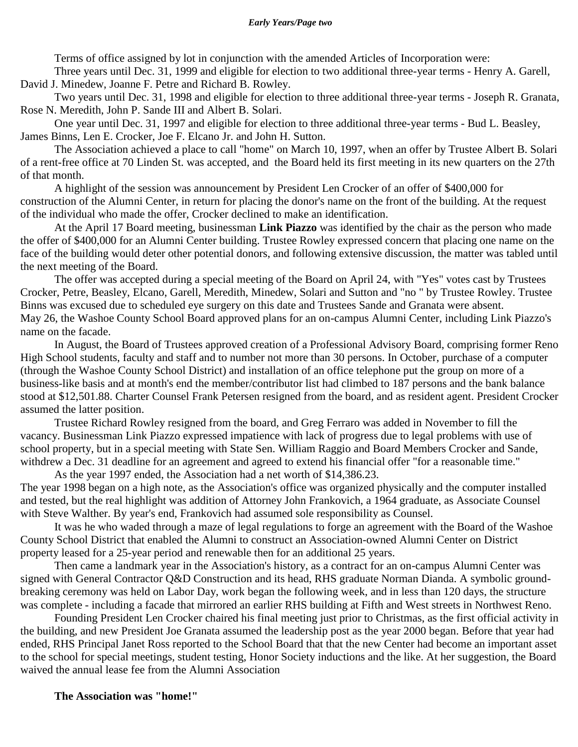Terms of office assigned by lot in conjunction with the amended Articles of Incorporation were:

Three years until Dec. 31, 1999 and eligible for election to two additional three-year terms - Henry A. Garell, David J. Minedew, Joanne F. Petre and Richard B. Rowley.

Two years until Dec. 31, 1998 and eligible for election to three additional three-year terms - Joseph R. Granata, Rose N. Meredith, John P. Sande III and Albert B. Solari.

One year until Dec. 31, 1997 and eligible for election to three additional three-year terms - Bud L. Beasley, James Binns, Len E. Crocker, Joe F. Elcano Jr. and John H. Sutton.

The Association achieved a place to call "home" on March 10, 1997, when an offer by Trustee Albert B. Solari of a rent-free office at 70 Linden St. was accepted, and the Board held its first meeting in its new quarters on the 27th of that month.

A highlight of the session was announcement by President Len Crocker of an offer of \$400,000 for construction of the Alumni Center, in return for placing the donor's name on the front of the building. At the request of the individual who made the offer, Crocker declined to make an identification.

At the April 17 Board meeting, businessman **Link Piazzo** was identified by the chair as the person who made the offer of \$400,000 for an Alumni Center building. Trustee Rowley expressed concern that placing one name on the face of the building would deter other potential donors, and following extensive discussion, the matter was tabled until the next meeting of the Board.

The offer was accepted during a special meeting of the Board on April 24, with "Yes" votes cast by Trustees Crocker, Petre, Beasley, Elcano, Garell, Meredith, Minedew, Solari and Sutton and "no " by Trustee Rowley. Trustee Binns was excused due to scheduled eye surgery on this date and Trustees Sande and Granata were absent. May 26, the Washoe County School Board approved plans for an on-campus Alumni Center, including Link Piazzo's name on the facade.

In August, the Board of Trustees approved creation of a Professional Advisory Board, comprising former Reno High School students, faculty and staff and to number not more than 30 persons. In October, purchase of a computer (through the Washoe County School District) and installation of an office telephone put the group on more of a business-like basis and at month's end the member/contributor list had climbed to 187 persons and the bank balance stood at \$12,501.88. Charter Counsel Frank Petersen resigned from the board, and as resident agent. President Crocker assumed the latter position.

Trustee Richard Rowley resigned from the board, and Greg Ferraro was added in November to fill the vacancy. Businessman Link Piazzo expressed impatience with lack of progress due to legal problems with use of school property, but in a special meeting with State Sen. William Raggio and Board Members Crocker and Sande, withdrew a Dec. 31 deadline for an agreement and agreed to extend his financial offer "for a reasonable time."

As the year 1997 ended, the Association had a net worth of \$14,386.23. The year 1998 began on a high note, as the Association's office was organized physically and the computer installed and tested, but the real highlight was addition of Attorney John Frankovich, a 1964 graduate, as Associate Counsel with Steve Walther. By year's end, Frankovich had assumed sole responsibility as Counsel.

It was he who waded through a maze of legal regulations to forge an agreement with the Board of the Washoe County School District that enabled the Alumni to construct an Association-owned Alumni Center on District property leased for a 25-year period and renewable then for an additional 25 years.

Then came a landmark year in the Association's history, as a contract for an on-campus Alumni Center was signed with General Contractor Q&D Construction and its head, RHS graduate Norman Dianda. A symbolic groundbreaking ceremony was held on Labor Day, work began the following week, and in less than 120 days, the structure was complete - including a facade that mirrored an earlier RHS building at Fifth and West streets in Northwest Reno.

Founding President Len Crocker chaired his final meeting just prior to Christmas, as the first official activity in the building, and new President Joe Granata assumed the leadership post as the year 2000 began. Before that year had ended, RHS Principal Janet Ross reported to the School Board that that the new Center had become an important asset to the school for special meetings, student testing, Honor Society inductions and the like. At her suggestion, the Board waived the annual lease fee from the Alumni Association

#### **The Association was "home!"**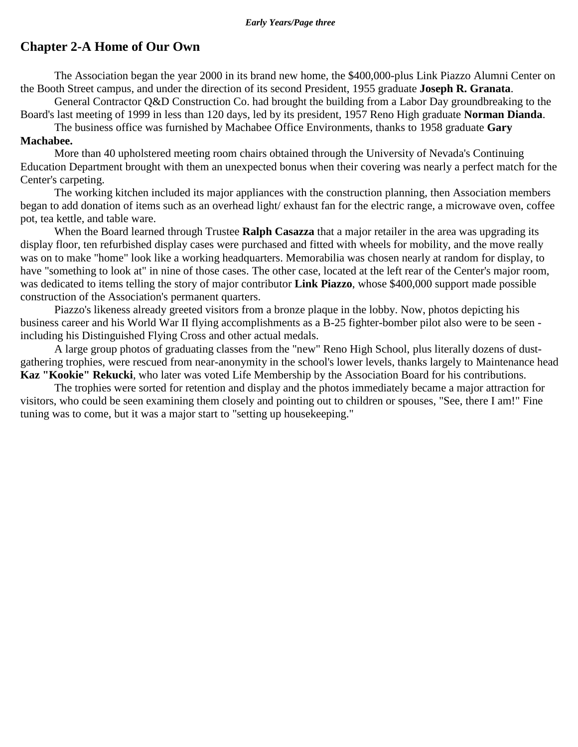#### **Chapter 2-A Home of Our Own**

The Association began the year 2000 in its brand new home, the \$400,000-plus Link Piazzo Alumni Center on the Booth Street campus, and under the direction of its second President, 1955 graduate **Joseph R. Granata**.

General Contractor Q&D Construction Co. had brought the building from a Labor Day groundbreaking to the Board's last meeting of 1999 in less than 120 days, led by its president, 1957 Reno High graduate **Norman Dianda**.

The business office was furnished by Machabee Office Environments, thanks to 1958 graduate **Gary Machabee.**

More than 40 upholstered meeting room chairs obtained through the University of Nevada's Continuing Education Department brought with them an unexpected bonus when their covering was nearly a perfect match for the Center's carpeting.

The working kitchen included its major appliances with the construction planning, then Association members began to add donation of items such as an overhead light/ exhaust fan for the electric range, a microwave oven, coffee pot, tea kettle, and table ware.

When the Board learned through Trustee **Ralph Casazza** that a major retailer in the area was upgrading its display floor, ten refurbished display cases were purchased and fitted with wheels for mobility, and the move really was on to make "home" look like a working headquarters. Memorabilia was chosen nearly at random for display, to have "something to look at" in nine of those cases. The other case, located at the left rear of the Center's major room, was dedicated to items telling the story of major contributor **Link Piazzo**, whose \$400,000 support made possible construction of the Association's permanent quarters.

Piazzo's likeness already greeted visitors from a bronze plaque in the lobby. Now, photos depicting his business career and his World War II flying accomplishments as a B-25 fighter-bomber pilot also were to be seen including his Distinguished Flying Cross and other actual medals.

A large group photos of graduating classes from the "new" Reno High School, plus literally dozens of dustgathering trophies, were rescued from near-anonymity in the school's lower levels, thanks largely to Maintenance head **Kaz "Kookie" Rekucki**, who later was voted Life Membership by the Association Board for his contributions.

The trophies were sorted for retention and display and the photos immediately became a major attraction for visitors, who could be seen examining them closely and pointing out to children or spouses, "See, there I am!" Fine tuning was to come, but it was a major start to "setting up housekeeping."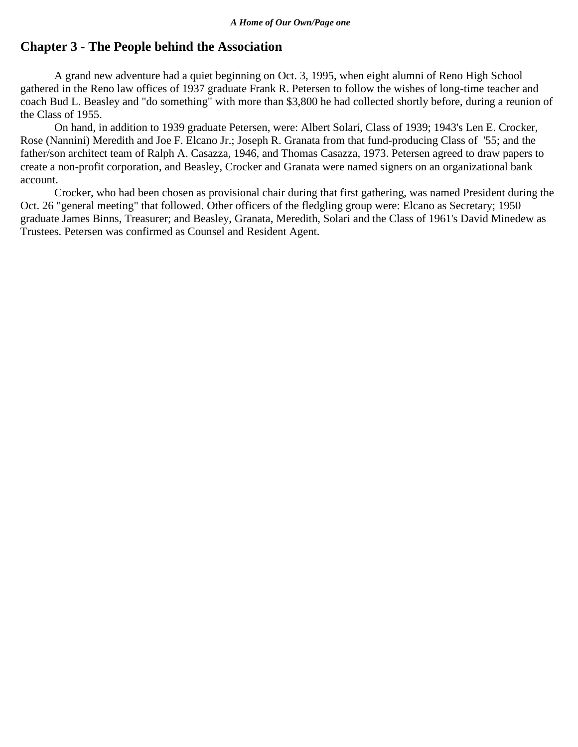#### **Chapter 3 - The People behind the Association**

A grand new adventure had a quiet beginning on Oct. 3, 1995, when eight alumni of Reno High School gathered in the Reno law offices of 1937 graduate Frank R. Petersen to follow the wishes of long-time teacher and coach Bud L. Beasley and "do something" with more than \$3,800 he had collected shortly before, during a reunion of the Class of 1955.

On hand, in addition to 1939 graduate Petersen, were: Albert Solari, Class of 1939; 1943's Len E. Crocker, Rose (Nannini) Meredith and Joe F. Elcano Jr.; Joseph R. Granata from that fund-producing Class of '55; and the father/son architect team of Ralph A. Casazza, 1946, and Thomas Casazza, 1973. Petersen agreed to draw papers to create a non-profit corporation, and Beasley, Crocker and Granata were named signers on an organizational bank account.

Crocker, who had been chosen as provisional chair during that first gathering, was named President during the Oct. 26 "general meeting" that followed. Other officers of the fledgling group were: Elcano as Secretary; 1950 graduate James Binns, Treasurer; and Beasley, Granata, Meredith, Solari and the Class of 1961's David Minedew as Trustees. Petersen was confirmed as Counsel and Resident Agent.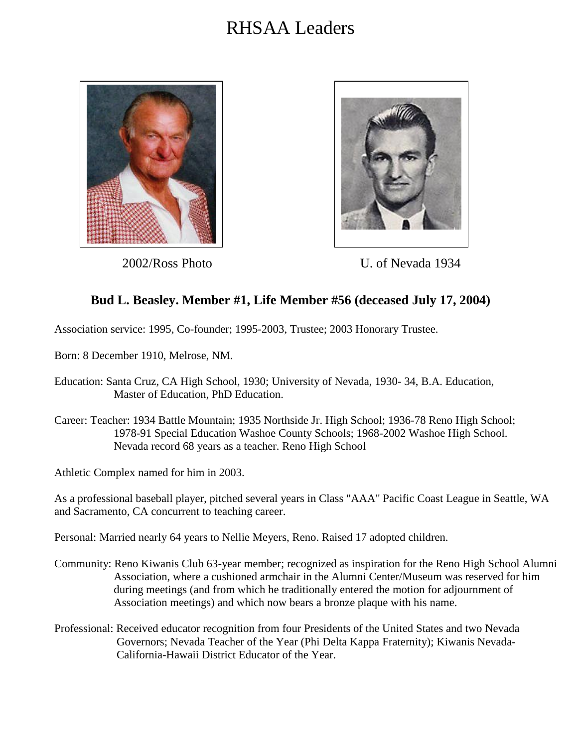



2002/Ross Photo U. of Nevada 1934

## **Bud L. Beasley. Member #1, Life Member #56 (deceased July 17, 2004)**

Association service: 1995, Co-founder; 1995-2003, Trustee; 2003 Honorary Trustee.

Born: 8 December 1910, Melrose, NM.

- Education: Santa Cruz, CA High School, 1930; University of Nevada, 1930- 34, B.A. Education, Master of Education, PhD Education.
- Career: Teacher: 1934 Battle Mountain; 1935 Northside Jr. High School; 1936-78 Reno High School; 1978-91 Special Education Washoe County Schools; 1968-2002 Washoe High School. Nevada record 68 years as a teacher. Reno High School

Athletic Complex named for him in 2003.

As a professional baseball player, pitched several years in Class "AAA" Pacific Coast League in Seattle, WA and Sacramento, CA concurrent to teaching career.

Personal: Married nearly 64 years to Nellie Meyers, Reno. Raised 17 adopted children.

- Community: Reno Kiwanis Club 63-year member; recognized as inspiration for the Reno High School Alumni Association, where a cushioned armchair in the Alumni Center/Museum was reserved for him during meetings (and from which he traditionally entered the motion for adjournment of Association meetings) and which now bears a bronze plaque with his name.
- Professional: Received educator recognition from four Presidents of the United States and two Nevada Governors; Nevada Teacher of the Year (Phi Delta Kappa Fraternity); Kiwanis Nevada- California-Hawaii District Educator of the Year.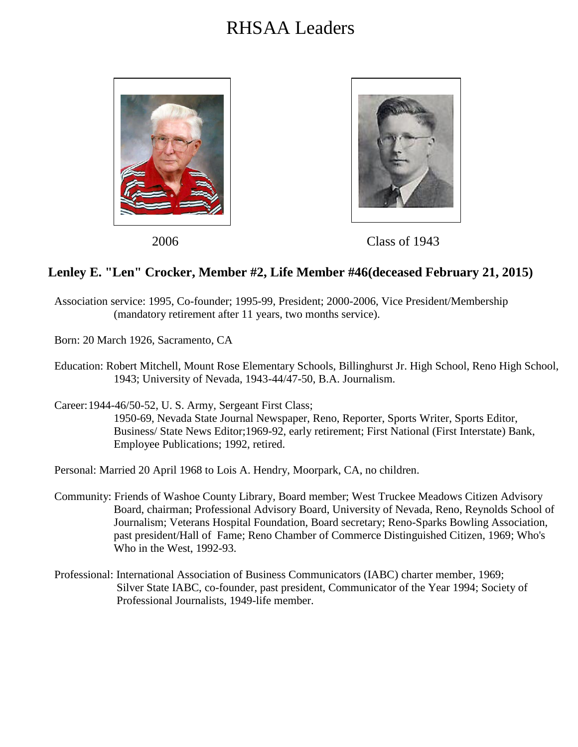



2006 Class of 1943

#### **Lenley E. "Len" Crocker, Member #2, Life Member #46(deceased February 21, 2015)**

- Association service: 1995, Co-founder; 1995-99, President; 2000-2006, Vice President/Membership (mandatory retirement after 11 years, two months service).
- Born: 20 March 1926, Sacramento, CA
- Education: Robert Mitchell, Mount Rose Elementary Schools, Billinghurst Jr. High School, Reno High School, 1943; University of Nevada, 1943-44/47-50, B.A. Journalism.
- Career:1944-46/50-52, U. S. Army, Sergeant First Class;
	- 1950-69, Nevada State Journal Newspaper, Reno, Reporter, Sports Writer, Sports Editor, Business/ State News Editor;1969-92, early retirement; First National (First Interstate) Bank, Employee Publications; 1992, retired.

Personal: Married 20 April 1968 to Lois A. Hendry, Moorpark, CA, no children.

- Community: Friends of Washoe County Library, Board member; West Truckee Meadows Citizen Advisory Board, chairman; Professional Advisory Board, University of Nevada, Reno, Reynolds School of Journalism; Veterans Hospital Foundation, Board secretary; Reno-Sparks Bowling Association, past president/Hall of Fame; Reno Chamber of Commerce Distinguished Citizen, 1969; Who's Who in the West, 1992-93.
- Professional: International Association of Business Communicators (IABC) charter member, 1969; Silver State IABC, co-founder, past president, Communicator of the Year 1994; Society of Professional Journalists, 1949-life member.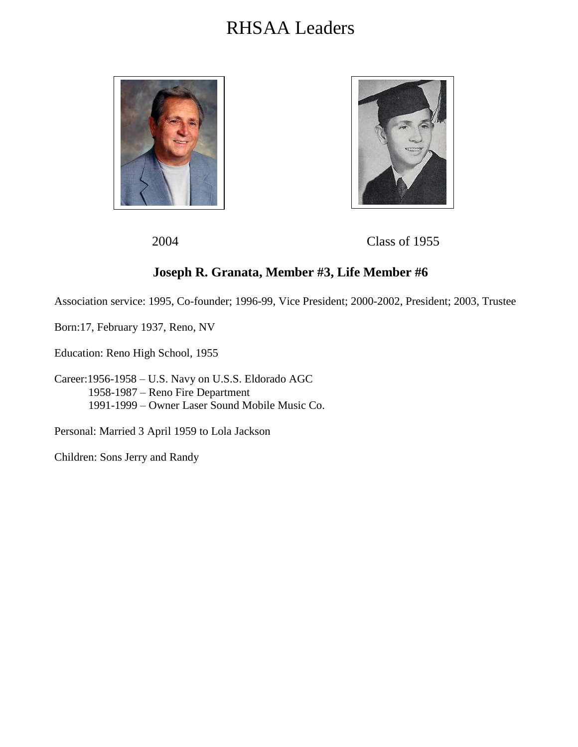



2004 Class of 1955

## **Joseph R. Granata, Member #3, Life Member #6**

Association service: 1995, Co-founder; 1996-99, Vice President; 2000-2002, President; 2003, Trustee

Born:17, February 1937, Reno, NV

Education: Reno High School, 1955

Career:1956-1958 – U.S. Navy on U.S.S. Eldorado AGC 1958-1987 – Reno Fire Department 1991-1999 – Owner Laser Sound Mobile Music Co.

Personal: Married 3 April 1959 to Lola Jackson

Children: Sons Jerry and Randy